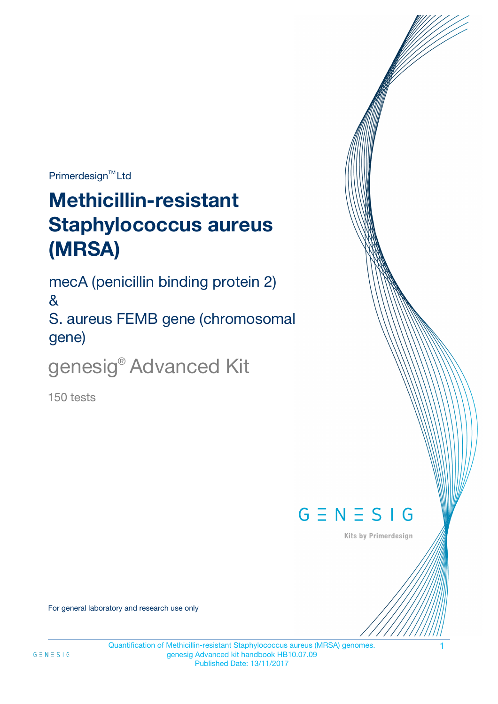$Primerdesign^{\text{TM}}Ltd$ 

# **Methicillin-resistant Staphylococcus aureus (MRSA)**

mecA (penicillin binding protein 2) &

S. aureus FEMB gene (chromosomal gene)

genesig® Advanced Kit

150 tests

# $G \equiv N \equiv S \mid G$

Kits by Primerdesign

For general laboratory and research use only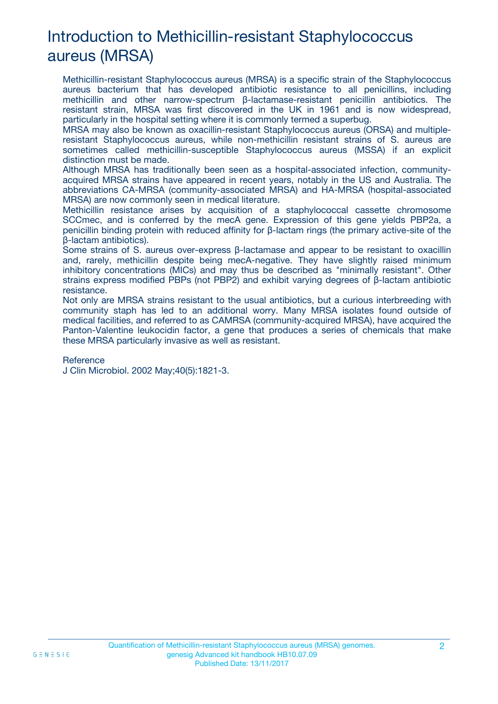# Introduction to Methicillin-resistant Staphylococcus aureus (MRSA)

Methicillin-resistant Staphylococcus aureus (MRSA) is a specific strain of the Staphylococcus aureus bacterium that has developed antibiotic resistance to all penicillins, including methicillin and other narrow-spectrum β-lactamase-resistant penicillin antibiotics. The resistant strain, MRSA was first discovered in the UK in 1961 and is now widespread, particularly in the hospital setting where it is commonly termed a superbug.

MRSA may also be known as oxacillin-resistant Staphylococcus aureus (ORSA) and multipleresistant Staphylococcus aureus, while non-methicillin resistant strains of S. aureus are sometimes called methicillin-susceptible Staphylococcus aureus (MSSA) if an explicit distinction must be made.

Although MRSA has traditionally been seen as a hospital-associated infection, communityacquired MRSA strains have appeared in recent years, notably in the US and Australia. The abbreviations CA-MRSA (community-associated MRSA) and HA-MRSA (hospital-associated MRSA) are now commonly seen in medical literature.

Methicillin resistance arises by acquisition of a staphylococcal cassette chromosome SCCmec, and is conferred by the mecA gene. Expression of this gene yields PBP2a, a penicillin binding protein with reduced affinity for β-lactam rings (the primary active-site of the β-lactam antibiotics).

Some strains of S. aureus over-express β-lactamase and appear to be resistant to oxacillin and, rarely, methicillin despite being mecA-negative. They have slightly raised minimum inhibitory concentrations (MICs) and may thus be described as "minimally resistant". Other strains express modified PBPs (not PBP2) and exhibit varying degrees of β-lactam antibiotic resistance.

Not only are MRSA strains resistant to the usual antibiotics, but a curious interbreeding with community staph has led to an additional worry. Many MRSA isolates found outside of medical facilities, and referred to as CAMRSA (community-acquired MRSA), have acquired the Panton-Valentine leukocidin factor, a gene that produces a series of chemicals that make these MRSA particularly invasive as well as resistant.

### **Reference**

J Clin Microbiol. 2002 May;40(5):1821-3.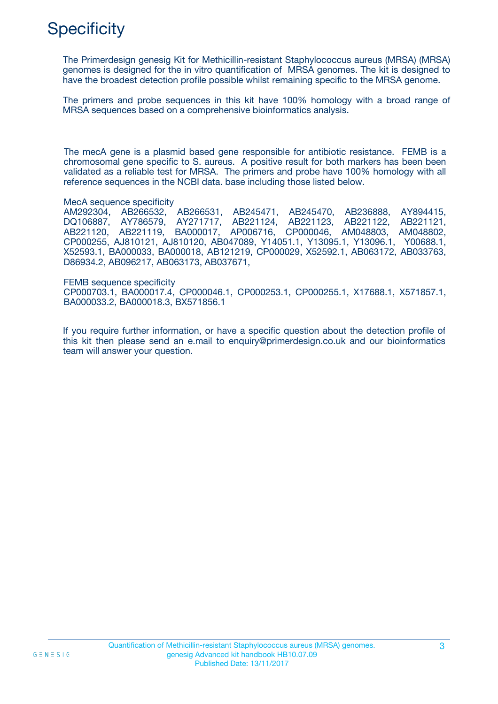# **Specificity**

The Primerdesign genesig Kit for Methicillin-resistant Staphylococcus aureus (MRSA) (MRSA) genomes is designed for the in vitro quantification of MRSA genomes. The kit is designed to have the broadest detection profile possible whilst remaining specific to the MRSA genome.

The primers and probe sequences in this kit have 100% homology with a broad range of MRSA sequences based on a comprehensive bioinformatics analysis.

The mecA gene is a plasmid based gene responsible for antibiotic resistance. FEMB is a chromosomal gene specific to S. aureus. A positive result for both markers has been been validated as a reliable test for MRSA. The primers and probe have 100% homology with all reference sequences in the NCBI data. base including those listed below.

#### MecA sequence specificity

AM292304, AB266532, AB266531, AB245471, AB245470, AB236888, AY894415, DQ106887, AY786579, AY271717, AB221124, AB221123, AB221122, AB221121, AB221120, AB221119, BA000017, AP006716, CP000046, AM048803, AM048802, CP000255, AJ810121, AJ810120, AB047089, Y14051.1, Y13095.1, Y13096.1, Y00688.1, X52593.1, BA000033, BA000018, AB121219, CP000029, X52592.1, AB063172, AB033763, D86934.2, AB096217, AB063173, AB037671,

#### FEMB sequence specificity

CP000703.1, BA000017.4, CP000046.1, CP000253.1, CP000255.1, X17688.1, X571857.1, BA000033.2, BA000018.3, BX571856.1

If you require further information, or have a specific question about the detection profile of this kit then please send an e.mail to enquiry@primerdesign.co.uk and our bioinformatics team will answer your question.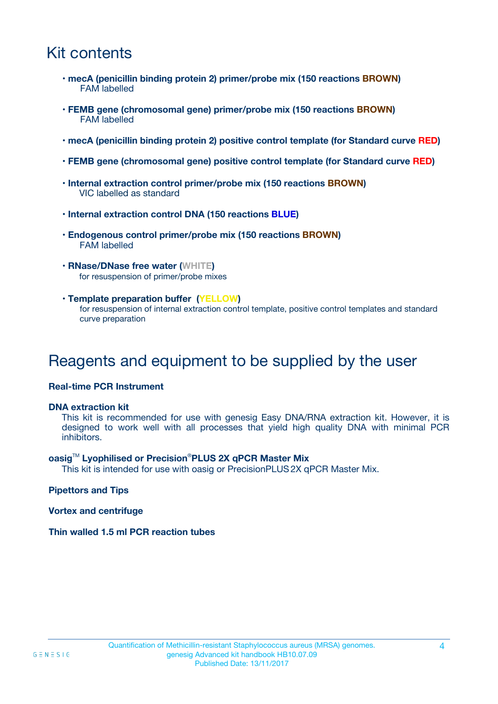## Kit contents

- **mecA (penicillin binding protein 2) primer/probe mix (150 reactions BROWN)** FAM labelled
- **FEMB gene (chromosomal gene) primer/probe mix (150 reactions BROWN)** FAM labelled
- **mecA (penicillin binding protein 2) positive control template (for Standard curve RED)**
- **FEMB gene (chromosomal gene) positive control template (for Standard curve RED)**
- **Internal extraction control primer/probe mix (150 reactions BROWN)** VIC labelled as standard
- **Internal extraction control DNA (150 reactions BLUE)**
- **Endogenous control primer/probe mix (150 reactions BROWN)** FAM labelled
- **RNase/DNase free water (WHITE)** for resuspension of primer/probe mixes
- **Template preparation buffer (YELLOW)** for resuspension of internal extraction control template, positive control templates and standard curve preparation

### Reagents and equipment to be supplied by the user

#### **Real-time PCR Instrument**

#### **DNA extraction kit**

This kit is recommended for use with genesig Easy DNA/RNA extraction kit. However, it is designed to work well with all processes that yield high quality DNA with minimal PCR inhibitors.

#### **oasig**TM **Lyophilised or Precision**®**PLUS 2X qPCR Master Mix**

This kit is intended for use with oasig or PrecisionPLUS2X qPCR Master Mix.

**Pipettors and Tips**

**Vortex and centrifuge**

**Thin walled 1.5 ml PCR reaction tubes**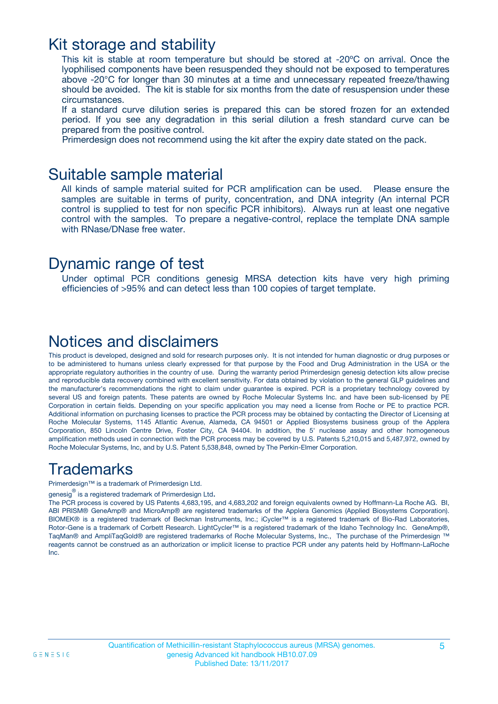### Kit storage and stability

This kit is stable at room temperature but should be stored at -20ºC on arrival. Once the lyophilised components have been resuspended they should not be exposed to temperatures above -20°C for longer than 30 minutes at a time and unnecessary repeated freeze/thawing should be avoided. The kit is stable for six months from the date of resuspension under these circumstances.

If a standard curve dilution series is prepared this can be stored frozen for an extended period. If you see any degradation in this serial dilution a fresh standard curve can be prepared from the positive control.

Primerdesign does not recommend using the kit after the expiry date stated on the pack.

### Suitable sample material

All kinds of sample material suited for PCR amplification can be used. Please ensure the samples are suitable in terms of purity, concentration, and DNA integrity (An internal PCR control is supplied to test for non specific PCR inhibitors). Always run at least one negative control with the samples. To prepare a negative-control, replace the template DNA sample with RNase/DNase free water.

### Dynamic range of test

Under optimal PCR conditions genesig MRSA detection kits have very high priming efficiencies of >95% and can detect less than 100 copies of target template.

### Notices and disclaimers

This product is developed, designed and sold for research purposes only. It is not intended for human diagnostic or drug purposes or to be administered to humans unless clearly expressed for that purpose by the Food and Drug Administration in the USA or the appropriate regulatory authorities in the country of use. During the warranty period Primerdesign genesig detection kits allow precise and reproducible data recovery combined with excellent sensitivity. For data obtained by violation to the general GLP guidelines and the manufacturer's recommendations the right to claim under guarantee is expired. PCR is a proprietary technology covered by several US and foreign patents. These patents are owned by Roche Molecular Systems Inc. and have been sub-licensed by PE Corporation in certain fields. Depending on your specific application you may need a license from Roche or PE to practice PCR. Additional information on purchasing licenses to practice the PCR process may be obtained by contacting the Director of Licensing at Roche Molecular Systems, 1145 Atlantic Avenue, Alameda, CA 94501 or Applied Biosystems business group of the Applera Corporation, 850 Lincoln Centre Drive, Foster City, CA 94404. In addition, the 5' nuclease assay and other homogeneous amplification methods used in connection with the PCR process may be covered by U.S. Patents 5,210,015 and 5,487,972, owned by Roche Molecular Systems, Inc, and by U.S. Patent 5,538,848, owned by The Perkin-Elmer Corporation.

### **Trademarks**

Primerdesign™ is a trademark of Primerdesign Ltd.

genesig $^\circledR$  is a registered trademark of Primerdesign Ltd.

The PCR process is covered by US Patents 4,683,195, and 4,683,202 and foreign equivalents owned by Hoffmann-La Roche AG. BI, ABI PRISM® GeneAmp® and MicroAmp® are registered trademarks of the Applera Genomics (Applied Biosystems Corporation). BIOMEK® is a registered trademark of Beckman Instruments, Inc.; iCycler™ is a registered trademark of Bio-Rad Laboratories, Rotor-Gene is a trademark of Corbett Research. LightCycler™ is a registered trademark of the Idaho Technology Inc. GeneAmp®, TaqMan® and AmpliTaqGold® are registered trademarks of Roche Molecular Systems, Inc., The purchase of the Primerdesign ™ reagents cannot be construed as an authorization or implicit license to practice PCR under any patents held by Hoffmann-LaRoche Inc.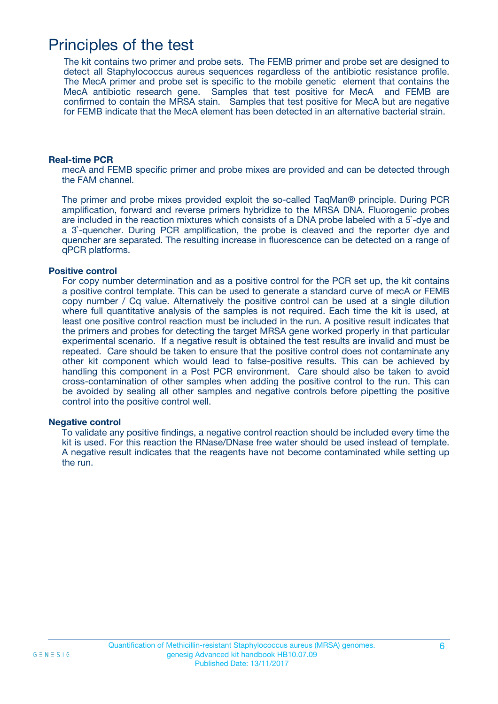### Principles of the test

The kit contains two primer and probe sets. The FEMB primer and probe set are designed to detect all Staphylococcus aureus sequences regardless of the antibiotic resistance profile. The MecA primer and probe set is specific to the mobile genetic element that contains the MecA antibiotic research gene. Samples that test positive for MecA and FEMB are confirmed to contain the MRSA stain. Samples that test positive for MecA but are negative for FEMB indicate that the MecA element has been detected in an alternative bacterial strain.

#### **Real-time PCR**

mecA and FEMB specific primer and probe mixes are provided and can be detected through the FAM channel.

The primer and probe mixes provided exploit the so-called TaqMan® principle. During PCR amplification, forward and reverse primers hybridize to the MRSA DNA. Fluorogenic probes are included in the reaction mixtures which consists of a DNA probe labeled with a 5`-dye and a 3`-quencher. During PCR amplification, the probe is cleaved and the reporter dye and quencher are separated. The resulting increase in fluorescence can be detected on a range of qPCR platforms.

### **Positive control**

For copy number determination and as a positive control for the PCR set up, the kit contains a positive control template. This can be used to generate a standard curve of mecA or FEMB copy number / Cq value. Alternatively the positive control can be used at a single dilution where full quantitative analysis of the samples is not required. Each time the kit is used, at least one positive control reaction must be included in the run. A positive result indicates that the primers and probes for detecting the target MRSA gene worked properly in that particular experimental scenario. If a negative result is obtained the test results are invalid and must be repeated. Care should be taken to ensure that the positive control does not contaminate any other kit component which would lead to false-positive results. This can be achieved by handling this component in a Post PCR environment. Care should also be taken to avoid cross-contamination of other samples when adding the positive control to the run. This can be avoided by sealing all other samples and negative controls before pipetting the positive control into the positive control well.

#### **Negative control**

To validate any positive findings, a negative control reaction should be included every time the kit is used. For this reaction the RNase/DNase free water should be used instead of template. A negative result indicates that the reagents have not become contaminated while setting up the run.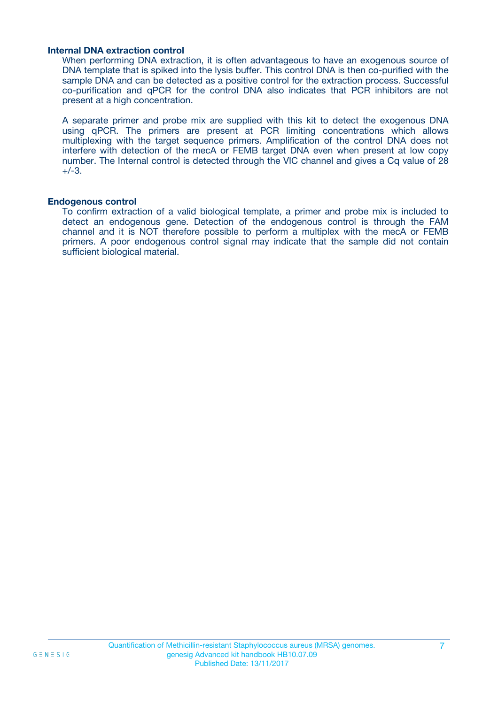### **Internal DNA extraction control**

When performing DNA extraction, it is often advantageous to have an exogenous source of DNA template that is spiked into the lysis buffer. This control DNA is then co-purified with the sample DNA and can be detected as a positive control for the extraction process. Successful co-purification and qPCR for the control DNA also indicates that PCR inhibitors are not present at a high concentration.

A separate primer and probe mix are supplied with this kit to detect the exogenous DNA using qPCR. The primers are present at PCR limiting concentrations which allows multiplexing with the target sequence primers. Amplification of the control DNA does not interfere with detection of the mecA or FEMB target DNA even when present at low copy number. The Internal control is detected through the VIC channel and gives a Cq value of 28  $+/-3.$ 

#### **Endogenous control**

To confirm extraction of a valid biological template, a primer and probe mix is included to detect an endogenous gene. Detection of the endogenous control is through the FAM channel and it is NOT therefore possible to perform a multiplex with the mecA or FEMB primers. A poor endogenous control signal may indicate that the sample did not contain sufficient biological material.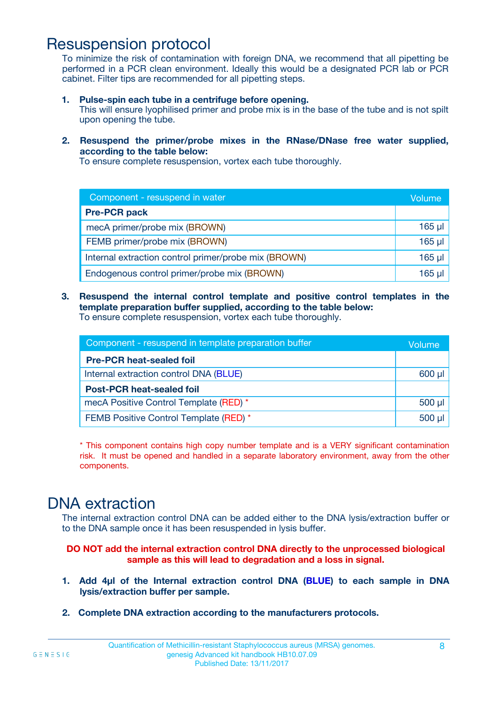### Resuspension protocol

To minimize the risk of contamination with foreign DNA, we recommend that all pipetting be performed in a PCR clean environment. Ideally this would be a designated PCR lab or PCR cabinet. Filter tips are recommended for all pipetting steps.

- **1. Pulse-spin each tube in a centrifuge before opening.** This will ensure lyophilised primer and probe mix is in the base of the tube and is not spilt upon opening the tube.
- **2. Resuspend the primer/probe mixes in the RNase/DNase free water supplied, according to the table below:**

To ensure complete resuspension, vortex each tube thoroughly.

| Component - resuspend in water                       | Volume      |
|------------------------------------------------------|-------------|
| <b>Pre-PCR pack</b>                                  |             |
| mecA primer/probe mix (BROWN)                        | $165$ $\mu$ |
| FEMB primer/probe mix (BROWN)                        | $165$ $\mu$ |
| Internal extraction control primer/probe mix (BROWN) | $165$ $\mu$ |
| Endogenous control primer/probe mix (BROWN)          | 165 µl      |

**3. Resuspend the internal control template and positive control templates in the template preparation buffer supplied, according to the table below:** To ensure complete resuspension, vortex each tube thoroughly.

| Component - resuspend in template preparation buffer |        |  |  |
|------------------------------------------------------|--------|--|--|
| <b>Pre-PCR heat-sealed foil</b>                      |        |  |  |
| Internal extraction control DNA (BLUE)               |        |  |  |
| <b>Post-PCR heat-sealed foil</b>                     |        |  |  |
| mecA Positive Control Template (RED) *               | 500 µl |  |  |
| FEMB Positive Control Template (RED) *               |        |  |  |

\* This component contains high copy number template and is a VERY significant contamination risk. It must be opened and handled in a separate laboratory environment, away from the other components.

### DNA extraction

The internal extraction control DNA can be added either to the DNA lysis/extraction buffer or to the DNA sample once it has been resuspended in lysis buffer.

### **DO NOT add the internal extraction control DNA directly to the unprocessed biological sample as this will lead to degradation and a loss in signal.**

- **1. Add 4µl of the Internal extraction control DNA (BLUE) to each sample in DNA lysis/extraction buffer per sample.**
- **2. Complete DNA extraction according to the manufacturers protocols.**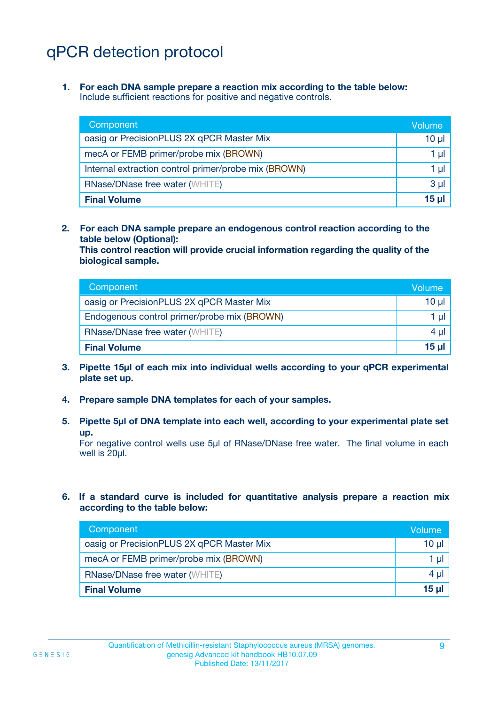# qPCR detection protocol

**1. For each DNA sample prepare a reaction mix according to the table below:** Include sufficient reactions for positive and negative controls.

| Component                                            | Volume   |
|------------------------------------------------------|----------|
| oasig or PrecisionPLUS 2X qPCR Master Mix            | $10 \mu$ |
| mecA or FEMB primer/probe mix (BROWN)                | 1 µI -   |
| Internal extraction control primer/probe mix (BROWN) | 1 ul -   |
| <b>RNase/DNase free water (WHITE)</b>                | $3 \mu$  |
| <b>Final Volume</b>                                  | 15 ul    |

**2. For each DNA sample prepare an endogenous control reaction according to the table below (Optional):**

**This control reaction will provide crucial information regarding the quality of the biological sample.**

| Component                                   | Volume |
|---------------------------------------------|--------|
| oasig or PrecisionPLUS 2X qPCR Master Mix   | 10 µl  |
| Endogenous control primer/probe mix (BROWN) | 1 µI   |
| <b>RNase/DNase free water (WHITE)</b>       | 4 ul   |
| <b>Final Volume</b>                         | 15 ul  |

- **3. Pipette 15µl of each mix into individual wells according to your qPCR experimental plate set up.**
- **4. Prepare sample DNA templates for each of your samples.**
- **5. Pipette 5µl of DNA template into each well, according to your experimental plate set up.**

For negative control wells use 5µl of RNase/DNase free water. The final volume in each well is 20µl.

**6. If a standard curve is included for quantitative analysis prepare a reaction mix according to the table below:**

| Component                                 | Volume       |
|-------------------------------------------|--------------|
| oasig or PrecisionPLUS 2X qPCR Master Mix | 10 µl        |
| mecA or FEMB primer/probe mix (BROWN)     | 1 µI         |
| <b>RNase/DNase free water (WHITE)</b>     | 4 µl         |
| <b>Final Volume</b>                       | <u>15 µl</u> |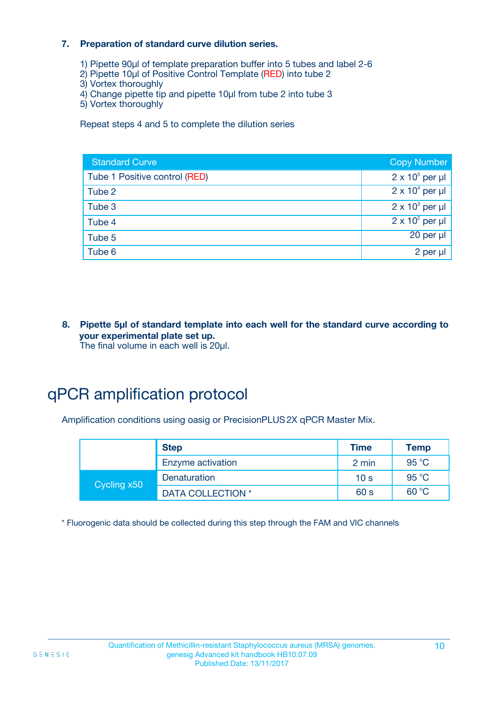### **7. Preparation of standard curve dilution series.**

- 1) Pipette 90µl of template preparation buffer into 5 tubes and label 2-6
- 2) Pipette 10µl of Positive Control Template (RED) into tube 2
- 3) Vortex thoroughly
- 4) Change pipette tip and pipette 10µl from tube 2 into tube 3
- 5) Vortex thoroughly

Repeat steps 4 and 5 to complete the dilution series International Units No international units

| <b>Standard Curve</b>         | <b>Copy Number</b>     |
|-------------------------------|------------------------|
| Tube 1 Positive control (RED) | $2 \times 10^5$ per µl |
| Tube 2                        | $2 \times 10^4$ per µl |
| Tube 3                        | $2 \times 10^3$ per µl |
| Tube 4                        | $2 \times 10^2$ per µl |
| Tube 5                        | 20 per µl              |
| Tube 6                        | 2 per µl               |

**8. Pipette 5µl of standard template into each well for the standard curve according to your experimental plate set up.** The final volume in each well is 20µl.

# qPCR amplification protocol

Amplification conditions using oasig or PrecisionPLUS2X qPCR Master Mix.

|             | <b>Step</b>       | <b>Time</b>     | <b>Temp</b> |
|-------------|-------------------|-----------------|-------------|
|             | Enzyme activation | 2 min           | 95 °C       |
| Cycling x50 | Denaturation      | 10 <sub>s</sub> | 95 °C       |
|             | DATA COLLECTION * | 60 s            | 60 °C       |

\* Fluorogenic data should be collected during this step through the FAM and VIC channels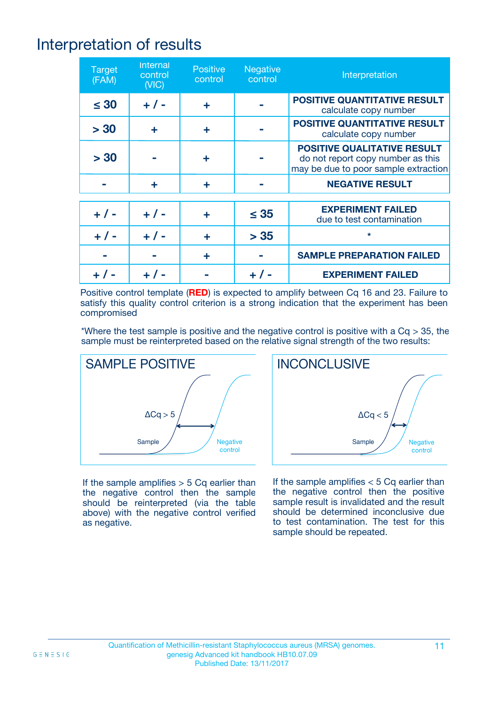# Interpretation of results

| <b>Target</b><br>(FAM) | <b>Internal</b><br>control<br>(NIC) | <b>Positive</b><br>control | <b>Negative</b><br>control | Interpretation                                                                                                  |
|------------------------|-------------------------------------|----------------------------|----------------------------|-----------------------------------------------------------------------------------------------------------------|
| $\leq 30$              | $+ 1 -$                             | ÷                          |                            | <b>POSITIVE QUANTITATIVE RESULT</b><br>calculate copy number                                                    |
| > 30                   | ÷                                   | ÷                          |                            | <b>POSITIVE QUANTITATIVE RESULT</b><br>calculate copy number                                                    |
| > 30                   |                                     | ÷                          |                            | <b>POSITIVE QUALITATIVE RESULT</b><br>do not report copy number as this<br>may be due to poor sample extraction |
|                        | ÷                                   | ÷                          |                            | <b>NEGATIVE RESULT</b>                                                                                          |
|                        |                                     |                            |                            |                                                                                                                 |
| $+ 1 -$                | $+ 1 -$                             |                            | $\leq$ 35                  | <b>EXPERIMENT FAILED</b><br>due to test contamination                                                           |
| $+ 1 -$                | $+ 1 -$                             | ÷                          | > 35                       | $\star$                                                                                                         |
|                        |                                     | ÷                          |                            | <b>SAMPLE PREPARATION FAILED</b>                                                                                |
|                        |                                     |                            |                            | <b>EXPERIMENT FAILED</b>                                                                                        |

Positive control template (**RED**) is expected to amplify between Cq 16 and 23. Failure to satisfy this quality control criterion is a strong indication that the experiment has been compromised

\*Where the test sample is positive and the negative control is positive with a  $Cq > 35$ , the sample must be reinterpreted based on the relative signal strength of the two results:



If the sample amplifies  $> 5$  Cq earlier than the negative control then the sample should be reinterpreted (via the table above) with the negative control verified as negative.



If the sample amplifies  $< 5$  Cq earlier than the negative control then the positive sample result is invalidated and the result should be determined inconclusive due to test contamination. The test for this sample should be repeated.